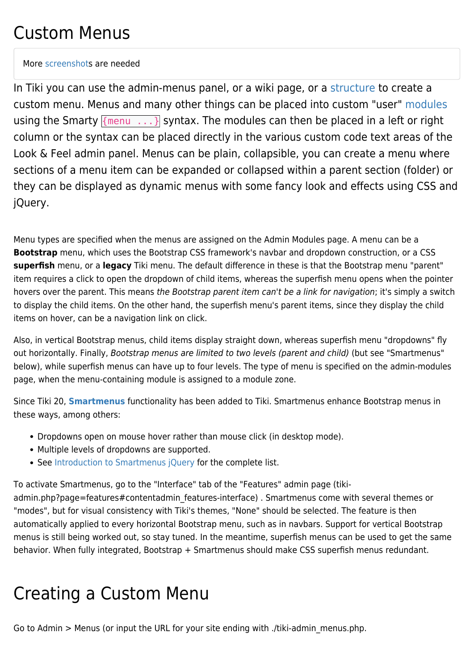### Custom Menus

More [screenshot](https://doc.tiki.org/screenshot)s are needed

In Tiki you can use the admin-menus panel, or a wiki page, or a [structure](https://doc.tiki.org/structure) to create a custom menu. Menus and many other things can be placed into custom "user" [modules](https://doc.tiki.org/modules) using the Smarty  ${m \choose m}$ , ...} syntax. The modules can then be placed in a left or right column or the syntax can be placed directly in the various custom code text areas of the Look & Feel admin panel. Menus can be plain, collapsible, you can create a menu where sections of a menu item can be expanded or collapsed within a parent section (folder) or they can be displayed as dynamic menus with some fancy look and effects using CSS and jQuery.

Menu types are specified when the menus are assigned on the Admin Modules page. A menu can be a **Bootstrap** menu, which uses the Bootstrap CSS framework's navbar and dropdown construction, or a CSS **superfish** menu, or a **legacy** Tiki menu. The default difference in these is that the Bootstrap menu "parent" item requires a click to open the dropdown of child items, whereas the superfish menu opens when the pointer hovers over the parent. This means the Bootstrap parent item can't be a link for navigation; it's simply a switch to display the child items. On the other hand, the superfish menu's parent items, since they display the child items on hover, can be a navigation link on click.

Also, in vertical Bootstrap menus, child items display straight down, whereas superfish menu "dropdowns" fly out horizontally. Finally, Bootstrap menus are limited to two levels (parent and child) (but see "Smartmenus" below), while superfish menus can have up to four levels. The type of menu is specified on the admin-modules page, when the menu-containing module is assigned to a module zone.

Since Tiki 20, **[Smartmenus](https://www.smartmenus.org)** functionality has been added to Tiki. Smartmenus enhance Bootstrap menus in these ways, among others:

- Dropdowns open on mouse hover rather than mouse click (in desktop mode).
- Multiple levels of dropdowns are supported.
- See [Introduction to Smartmenus jQuery](https://www.smartmenus.org/about/introduction-to-smartmenus-jquery/) for the complete list.

To activate Smartmenus, go to the "Interface" tab of the "Features" admin page (tiki-

admin.php?page=features#contentadmin\_features-interface) . Smartmenus come with several themes or "modes", but for visual consistency with Tiki's themes, "None" should be selected. The feature is then automatically applied to every horizontal Bootstrap menu, such as in navbars. Support for vertical Bootstrap menus is still being worked out, so stay tuned. In the meantime, superfish menus can be used to get the same behavior. When fully integrated, Bootstrap + Smartmenus should make CSS superfish menus redundant.

# Creating a Custom Menu

Go to Admin > Menus (or input the URL for your site ending with ./tiki-admin\_menus.php.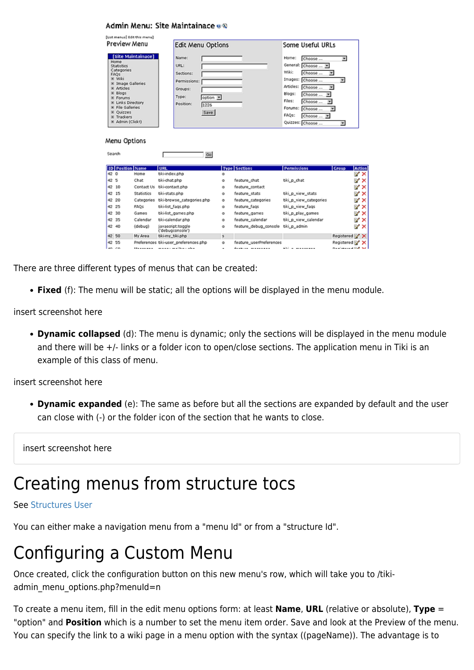|     |                                                                                                                                                                                                                     | [List menus] Edit this menu) |                                                                             |                           |    |                              |                                                                                                                                                                                                                             |                                    |        |
|-----|---------------------------------------------------------------------------------------------------------------------------------------------------------------------------------------------------------------------|------------------------------|-----------------------------------------------------------------------------|---------------------------|----|------------------------------|-----------------------------------------------------------------------------------------------------------------------------------------------------------------------------------------------------------------------------|------------------------------------|--------|
|     | Preview Menu                                                                                                                                                                                                        |                              | <b>Edit Menu Options</b>                                                    |                           |    |                              | Some Useful URLs                                                                                                                                                                                                            |                                    |        |
|     | Home<br><b>Statistics</b><br>Categories<br>FAOS<br>= Wiki<br>El Image Galleries<br>E Articles<br>E Blogs<br><b>E</b> Forums<br>E Links Directory<br>E File Galleries<br>E Quizzes<br>E Trackers<br>E Admin (Click!) | [Site Maintainace]           | Name:<br>URL:<br>Sections:<br>Permissions:<br>Groups:<br>Type:<br>Positions | option IM<br>1226<br>Save |    |                              | Home:<br>Choose<br>General: Choose  [M]<br>Wikip<br>Choose<br>Images:<br>Choose<br>Articles:<br>Choose<br>Blogs:<br>Choose<br>×<br>Files:<br>Choose<br>Forums:<br>Choose<br><b>FAQs:</b><br>Choose<br>P.<br>Quizzes: Choose | Σ<br>医<br>Σ<br>쩨<br>쩨<br>×<br>医    |        |
|     | Menu Options<br>Search                                                                                                                                                                                              |                              |                                                                             | Go                        |    |                              |                                                                                                                                                                                                                             |                                    |        |
|     | <b>ID Position Name</b>                                                                                                                                                                                             |                              | <b>URL</b>                                                                  |                           |    | <b>Type Sections</b>         | <b>Permissions</b>                                                                                                                                                                                                          | Group                              | Action |
| 420 |                                                                                                                                                                                                                     | Home                         | tiki-index.php                                                              |                           | o  |                              |                                                                                                                                                                                                                             |                                    | ⊌×     |
| 42S |                                                                                                                                                                                                                     | Chat                         | tiki-chat.php                                                               |                           | o  | feature chat                 | tiki_p_chat                                                                                                                                                                                                                 |                                    | w ×    |
|     | 42 10                                                                                                                                                                                                               | Contact Us                   | tiki-contact.php                                                            |                           | o  | feature contact              |                                                                                                                                                                                                                             |                                    | V X    |
|     | 42 15                                                                                                                                                                                                               | <b>Statistics</b>            | tiki-stats.php                                                              |                           | ۰  | feature_stats                | tiki p_view_stats                                                                                                                                                                                                           |                                    | v x    |
|     | 42 20                                                                                                                                                                                                               |                              | Categories tiki-browse_categories.php                                       |                           | o  | feature categories           | tiki_p_view_categories                                                                                                                                                                                                      |                                    | w ×    |
|     | 42 25                                                                                                                                                                                                               | FAOs                         | tiki-list_faqs.php                                                          |                           | o  | feature_fags                 | tiki_p_view_fags                                                                                                                                                                                                            |                                    | w ×    |
|     | 42 30                                                                                                                                                                                                               | Games                        | tiki-list games.php                                                         |                           | o  | feature games                | tiki_p_play_games                                                                                                                                                                                                           |                                    | w ×    |
|     | 42 35                                                                                                                                                                                                               | Calendar                     | tiki-calendar.php                                                           |                           | o  | feature calendar             | tiki p view calendar                                                                                                                                                                                                        |                                    | w ×    |
|     | 42 40                                                                                                                                                                                                               | (debug)                      | javascript:toggle<br>("debugcansole")                                       |                           | o  | feature_debug_console        | tiki_p_admin                                                                                                                                                                                                                |                                    | ₩×     |
|     | 42 50                                                                                                                                                                                                               | My Area                      | tiki-my_tiki.php                                                            |                           | s. |                              |                                                                                                                                                                                                                             | Registered M X                     |        |
|     | 42 55                                                                                                                                                                                                               |                              | Preferences tiki-user_preferences.php                                       |                           | o  | feature_userPreferences      |                                                                                                                                                                                                                             | Registered M X                     |        |
|     | 40.00                                                                                                                                                                                                               |                              | company and the complete.                                                   |                           |    | <u> Anglo-sa magnang ng </u> | معمومه ومعاملته                                                                                                                                                                                                             | المتلا التماثلة فاستعملت والمستناة |        |

There are three different types of menus that can be created:

Admin Menu: Site Maintainace e®

**Fixed** (f): The menu will be static; all the options will be displayed in the menu module.

insert screenshot here

**Dynamic collapsed** (d): The menu is dynamic; only the sections will be displayed in the menu module and there will be +/- links or a folder icon to open/close sections. The application menu in Tiki is an example of this class of menu.

insert screenshot here

**Dynamic expanded** (e): The same as before but all the sections are expanded by default and the user can close with (-) or the folder icon of the section that he wants to close.

insert screenshot here

# Creating menus from structure tocs

#### See [Structures User](https://doc.tiki.org/Structures%20User)

You can either make a navigation menu from a "menu Id" or from a "structure Id".

# Configuring a Custom Menu

Once created, click the configuration button on this new menu's row, which will take you to /tikiadmin menu options.php?menuId=n

To create a menu item, fill in the edit menu options form: at least **Name**, **URL** (relative or absolute), **Type** = "option" and **Position** which is a number to set the menu item order. Save and look at the Preview of the menu. You can specify the link to a wiki page in a menu option with the syntax ((pageName)). The advantage is to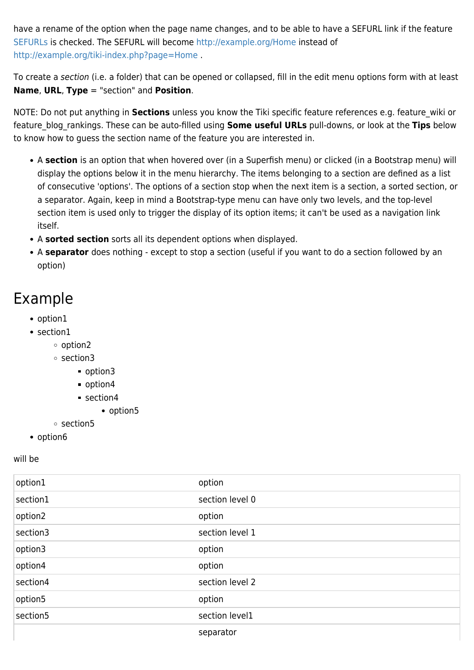have a rename of the option when the page name changes, and to be able to have a SEFURL link if the feature [SEFURLs](https://doc.tiki.org/SEFURLs) is checked. The SEFURL will become <http://example.org/Home>instead of <http://example.org/tiki-index.php?page=Home> .

To create a section (i.e. a folder) that can be opened or collapsed, fill in the edit menu options form with at least **Name**, **URL**, **Type** = "section" and **Position**.

NOTE: Do not put anything in **Sections** unless you know the Tiki specific feature references e.g. feature\_wiki or feature\_blog\_rankings. These can be auto-filled using **Some useful URLs** pull-downs, or look at the **Tips** below to know how to guess the section name of the feature you are interested in.

- A **section** is an option that when hovered over (in a Superfish menu) or clicked (in a Bootstrap menu) will display the options below it in the menu hierarchy. The items belonging to a section are defined as a list of consecutive 'options'. The options of a section stop when the next item is a section, a sorted section, or a separator. Again, keep in mind a Bootstrap-type menu can have only two levels, and the top-level section item is used only to trigger the display of its option items; it can't be used as a navigation link itself.
- A **sorted section** sorts all its dependent options when displayed.
- A **separator** does nothing except to stop a section (useful if you want to do a section followed by an option)

#### Example

- option1
- section1
	- option2
	- section3
		- option3
		- option4
		- section4
			- option5
	- section5
- option6

will be

| option1  | option          |
|----------|-----------------|
| section1 | section level 0 |
| option2  | option          |
| section3 | section level 1 |
| option3  | option          |
| option4  | option          |
| section4 | section level 2 |
| option5  | option          |
| section5 | section level1  |
|          | separator       |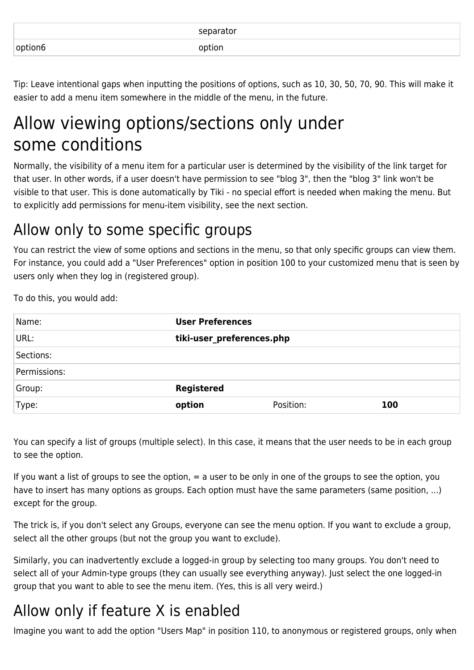|         | separator |
|---------|-----------|
| option6 | option    |

Tip: Leave intentional gaps when inputting the positions of options, such as 10, 30, 50, 70, 90. This will make it easier to add a menu item somewhere in the middle of the menu, in the future.

## Allow viewing options/sections only under some conditions

Normally, the visibility of a menu item for a particular user is determined by the visibility of the link target for that user. In other words, if a user doesn't have permission to see "blog 3", then the "blog 3" link won't be visible to that user. This is done automatically by Tiki - no special effort is needed when making the menu. But to explicitly add permissions for menu-item visibility, see the next section.

### Allow only to some specific groups

You can restrict the view of some options and sections in the menu, so that only specific groups can view them. For instance, you could add a "User Preferences" option in position 100 to your customized menu that is seen by users only when they log in (registered group).

To do this, you would add:

| Name:        | <b>User Preferences</b>   |           |     |
|--------------|---------------------------|-----------|-----|
| URL:         | tiki-user_preferences.php |           |     |
| Sections:    |                           |           |     |
| Permissions: |                           |           |     |
| Group:       | <b>Registered</b>         |           |     |
| Type:        | option                    | Position: | 100 |

You can specify a list of groups (multiple select). In this case, it means that the user needs to be in each group to see the option.

If you want a list of groups to see the option,  $=$  a user to be only in one of the groups to see the option, you have to insert has many options as groups. Each option must have the same parameters (same position, ...) except for the group.

The trick is, if you don't select any Groups, everyone can see the menu option. If you want to exclude a group, select all the other groups (but not the group you want to exclude).

Similarly, you can inadvertently exclude a logged-in group by selecting too many groups. You don't need to select all of your Admin-type groups (they can usually see everything anyway). Just select the one logged-in group that you want to able to see the menu item. (Yes, this is all very weird.)

### Allow only if feature X is enabled

Imagine you want to add the option "Users Map" in position 110, to anonymous or registered groups, only when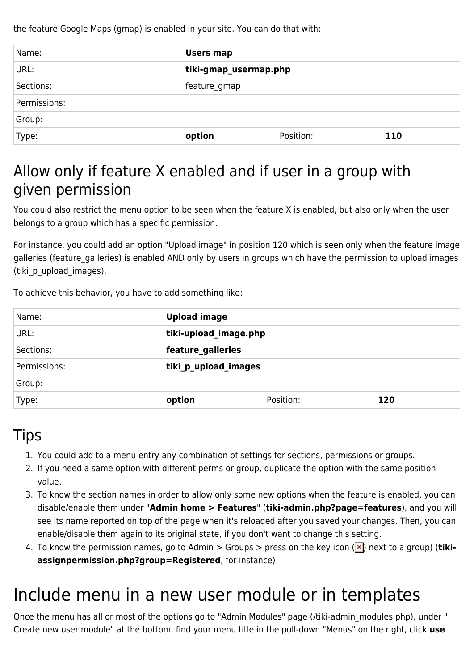the feature Google Maps (gmap) is enabled in your site. You can do that with:

| Name:        | <b>Users map</b>      |           |     |
|--------------|-----------------------|-----------|-----|
| URL:         | tiki-gmap_usermap.php |           |     |
| Sections:    | feature_gmap          |           |     |
| Permissions: |                       |           |     |
| Group:       |                       |           |     |
| Type:        | option                | Position: | 110 |

### Allow only if feature X enabled and if user in a group with given permission

You could also restrict the menu option to be seen when the feature X is enabled, but also only when the user belongs to a group which has a specific permission.

For instance, you could add an option "Upload image" in position 120 which is seen only when the feature image galleries (feature\_galleries) is enabled AND only by users in groups which have the permission to upload images (tiki\_p\_upload\_images).

To achieve this behavior, you have to add something like:

| Name:        | <b>Upload image</b>   |           |     |
|--------------|-----------------------|-----------|-----|
| URL:         | tiki-upload_image.php |           |     |
| Sections:    | feature galleries     |           |     |
| Permissions: | tiki_p_upload_images  |           |     |
| Group:       |                       |           |     |
| Type:        | option                | Position: | 120 |

#### **Tips**

- 1. You could add to a menu entry any combination of settings for sections, permissions or groups.
- 2. If you need a same option with different perms or group, duplicate the option with the same position value.
- 3. To know the section names in order to allow only some new options when the feature is enabled, you can disable/enable them under "**Admin home > Features**" (**tiki-admin.php?page=features**), and you will see its name reported on top of the page when it's reloaded after you saved your changes. Then, you can enable/disable them again to its original state, if you don't want to change this setting.
- 4. To know the permission names, go to Admin > Groups > press on the key icon (**x**) next to a group) (**tikiassignpermission.php?group=Registered**, for instance)

# Include menu in a new user module or in templates

Once the menu has all or most of the options go to "Admin Modules" page (/tiki-admin\_modules.php), under " Create new user module" at the bottom, find your menu title in the pull-down "Menus" on the right, click **use**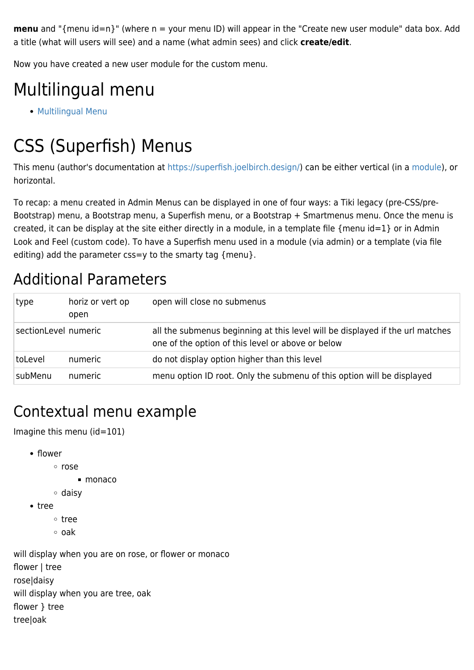**menu** and "{menu id=n}" (where n = your menu ID) will appear in the "Create new user module" data box. Add a title (what will users will see) and a name (what admin sees) and click **create/edit**.

Now you have created a new user module for the custom menu.

# Multilingual menu

**• [Multilingual Menu](https://doc.tiki.org/Multilingual-Menu)** 

# CSS (Superfish) Menus

This menu (author's documentation at <https://superfish.joelbirch.design/>) can be either vertical (in a [module\)](https://doc.tiki.org/Module), or horizontal.

To recap: a menu created in Admin Menus can be displayed in one of four ways: a Tiki legacy (pre-CSS/pre-Bootstrap) menu, a Bootstrap menu, a Superfish menu, or a Bootstrap + Smartmenus menu. Once the menu is created, it can be display at the site either directly in a module, in a template file {menu id=1} or in Admin Look and Feel (custom code). To have a Superfish menu used in a module (via admin) or a template (via file editing) add the parameter css=y to the smarty tag {menu}.

#### Additional Parameters

| type                 | horiz or vert op<br>open | open will close no submenus                                                                                                        |
|----------------------|--------------------------|------------------------------------------------------------------------------------------------------------------------------------|
| sectionLevel numeric |                          | all the submenus beginning at this level will be displayed if the url matches<br>one of the option of this level or above or below |
| toLevel              | numeric                  | do not display option higher than this level                                                                                       |
| subMenu              | numeric                  | menu option ID root. Only the submenu of this option will be displayed                                                             |

### Contextual menu example

Imagine this menu (id=101)

- flower
	- rose
		- monaco
	- daisy
- tree
	- tree
	- oak

will display when you are on rose, or flower or monaco flower | tree rose|daisy will display when you are tree, oak flower } tree tree|oak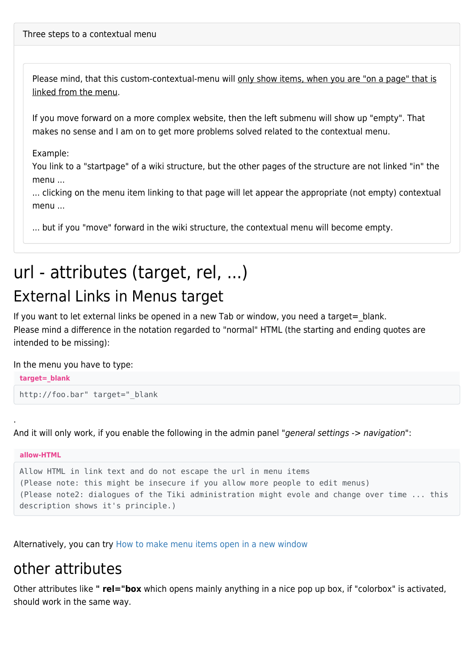Please mind, that this custom-contextual-menu will only show items, when you are "on a page" that is linked from the menu.

If you move forward on a more complex website, then the left submenu will show up "empty". That makes no sense and I am on to get more problems solved related to the contextual menu.

Example:

You link to a "startpage" of a wiki structure, but the other pages of the structure are not linked "in" the menu ...

... clicking on the menu item linking to that page will let appear the appropriate (not empty) contextual menu ...

... but if you "move" forward in the wiki structure, the contextual menu will become empty.

## url - attributes (target, rel, ...) External Links in Menus target

If you want to let external links be opened in a new Tab or window, you need a target = blank. Please mind a difference in the notation regarded to "normal" HTML (the starting and ending quotes are intended to be missing):

In the menu you have to type:

.

```
target=_blank
http://foo.bar" target=" blank
```
And it will only work, if you enable the following in the admin panel "general settings -> navigation":

```
allow-HTML
Allow HTML in link text and do not escape the url in menu items
(Please note: this might be insecure if you allow more people to edit menus)
(Please note2: dialogues of the Tiki administration might evole and change over time ... this
description shows it's principle.)
```
Alternatively, you can try [How to make menu items open in a new window](https://doc.tiki.org/How-to-make-menu-items-open-in-a-new-window)

#### other attributes

Other attributes like **" rel="box** which opens mainly anything in a nice pop up box, if "colorbox" is activated, should work in the same way.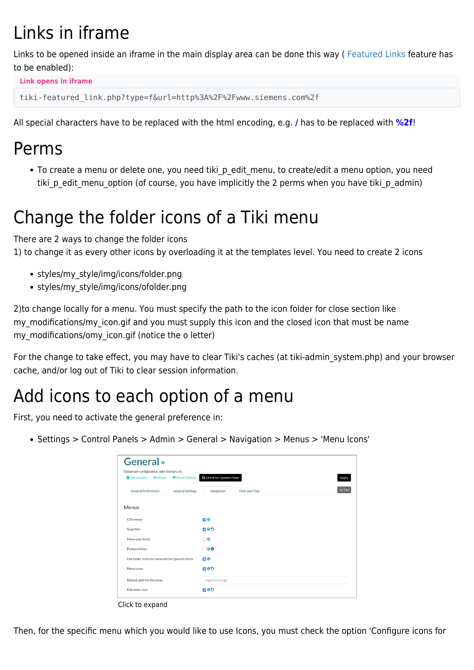# Links in iframe

Links to be opened inside an iframe in the main display area can be done this way ( [Featured Links](https://doc.tiki.org/Featured-Links) feature has to be enabled):

```
Link opens in iframe
tiki-featured_link.php?type=f&url=http%3A%2F%2Fwww.siemens.com%2f
```
All special characters have to be replaced with the html encoding, e.g. **/** has to be replaced with **%2f**!

### Perms

• To create a menu or delete one, you need tiki p edit menu, to create/edit a menu option, you need tiki p edit menu option (of course, you have implicitly the 2 perms when you have tiki p admin)

# Change the folder icons of a Tiki menu

There are 2 ways to change the folder icons 1) to change it as every other icons by overloading it at the templates level. You need to create 2 icons

- styles/my\_style/img/icons/folder.png
- styles/my\_style/img/icons/ofolder.png

2)to change locally for a menu. You must specify the path to the icon folder for close section like my modifications/my icon.gif and you must supply this icon and the closed icon that must be name my\_modifications/omy\_icon.gif (notice the o letter)

For the change to take effect, you may have to clear Tiki's caches (at tiki-admin\_system.php) and your browser cache, and/or log out of Tiki to clear session information.

## Add icons to each option of a menu

First, you need to activate the general preference in:

Settings > Control Panels > Admin > General > Navigation > Menus > 'Menu Icons'

| Global site configuration, date formats, etc.         |                                        |
|-------------------------------------------------------|----------------------------------------|
| <b>■Tiki Installer ■ 三 Menus</b><br>Server Fitness    | Q Check for Updates Now<br>Apply       |
| <b>General Preferences</b><br><b>General Settings</b> | No Tabs<br>Navigation<br>Date and Time |
| <b>Menus</b>                                          |                                        |
| <b>CSS menus</b>                                      | 00                                     |
| Superfish                                             | <b>COD</b>                             |
| Menu user levels                                      | $\Box$ 0                               |
| <b>Featured links</b>                                 | $\Box$ 00                              |
| Use folder icons for menu section (parent) items      | 20                                     |
| Menu icons                                            | <b>COD</b>                             |
| Default path for the icons                            | img/icons/large                        |
| Edit menu icon                                        | <b>COD</b>                             |

Click to expand

Then, for the specific menu which you would like to use Icons, you must check the option 'Configure icons for